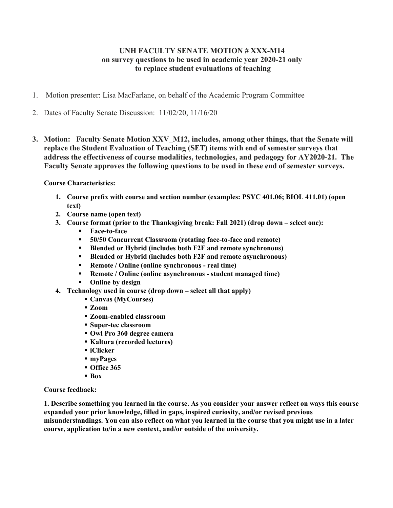## UNH FACULTY SENATE MOTION # XXX-M14 on survey questions to be used in academic year 2020-21 only to replace student evaluations of teaching

- 1. Motion presenter: Lisa MacFarlane, on behalf of the Academic Program Committee
- 2. Dates of Faculty Senate Discussion: 11/02/20, 11/16/20
- 3. Motion: Faculty Senate Motion XXV M12, includes, among other things, that the Senate will replace the Student Evaluation of Teaching (SET) items with end of semester surveys that address the effectiveness of course modalities, technologies, and pedagogy for AY2020-21. The Faculty Senate approves the following questions to be used in these end of semester surveys.

Course Characteristics:

- 1. Course prefix with course and section number (examples: PSYC 401.06; BIOL 411.01) (open text)
- 2. Course name (open text)
- 3. Course format (prior to the Thanksgiving break: Fall 2021) (drop down select one):
	- Face-to-face
	- 50/50 Concurrent Classroom (rotating face-to-face and remote)
	- Blended or Hybrid (includes both F2F and remote synchronous)
	- Blended or Hybrid (includes both F2F and remote asynchronous)
	- Remote / Online (online synchronous real time)
	- Remote / Online (online asynchronous student managed time)
	- Online by design
- 4. Technology used in course (drop down select all that apply)
	- Canvas (MyCourses)
	- Zoom
	- Zoom-enabled classroom
	- Super-tec classroom
	- Owl Pro 360 degree camera
	- Kaltura (recorded lectures)
	- iClicker
	- myPages
	- Office 365
	- Box

## Course feedback:

1. Describe something you learned in the course. As you consider your answer reflect on ways this course expanded your prior knowledge, filled in gaps, inspired curiosity, and/or revised previous misunderstandings. You can also reflect on what you learned in the course that you might use in a later course, application to/in a new context, and/or outside of the university.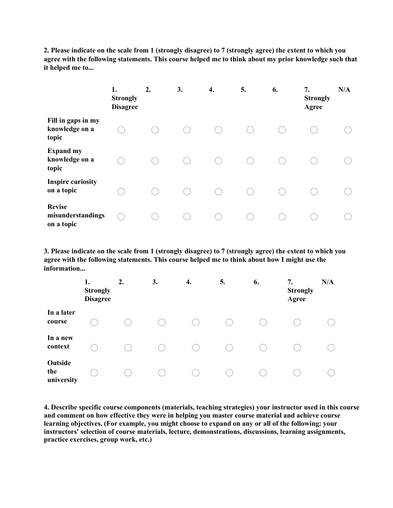2. Please indicate on the scale from 1 (strongly disagree) to 7 (strongly agree) the extent to which you agree with the following statements. This course helped me to think about my prior knowledge such that it helped me to...

|                                                  | 1.<br><b>Strongly</b><br><b>Disagree</b> | 2. | 3. | 4. | 5. | 6. | 7.<br><b>Strongly</b><br>Agree | N/A |
|--------------------------------------------------|------------------------------------------|----|----|----|----|----|--------------------------------|-----|
| Fill in gaps in my<br>knowledge on a<br>topic    |                                          |    |    |    |    |    |                                |     |
| <b>Expand my</b><br>knowledge on a<br>topic      |                                          |    |    |    |    |    |                                |     |
| <b>Inspire curiosity</b><br>on a topic           |                                          |    |    |    |    |    |                                |     |
| <b>Revise</b><br>misunderstandings<br>on a topic |                                          |    |    |    |    |    |                                |     |

3. Please indicate on the scale from 1 (strongly disagree) to 7 (strongly agree) the extent to which you agree with the following statements. This course helped me to think about how I might use the information...

|                              | 1.<br><b>Strongly</b><br><b>Disagree</b> | 2. | 3. | 4. | 5. | 6. | 7.<br><b>Strongly</b><br>Agree | N/A |
|------------------------------|------------------------------------------|----|----|----|----|----|--------------------------------|-----|
| In a later<br>course         |                                          |    |    |    |    |    |                                |     |
| In a new<br>context          |                                          |    |    |    |    |    |                                |     |
| Outside<br>the<br>university |                                          |    |    |    |    |    |                                |     |

4. Describe specific course components (materials, teaching strategies) your instructor used in this course and comment on how effective they were in helping you master course material and achieve course learning objectives. (For example, you might choose to expand on any or all of the following: your instructors' selection of course materials, lecture, demonstrations, discussions, learning assignments, practice exercises, group work, etc.)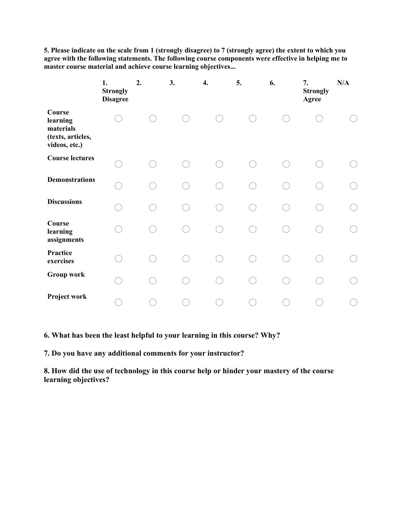5. Please indicate on the scale from 1 (strongly disagree) to 7 (strongly agree) the extent to which you agree with the following statements. The following course components were effective in helping me to master course material and achieve course learning objectives...

|                                                                       | 1.<br><b>Strongly</b><br><b>Disagree</b> | 2. | 3. | 4. | 5. | 6. | 7.<br><b>Strongly</b><br>Agree | N/A |
|-----------------------------------------------------------------------|------------------------------------------|----|----|----|----|----|--------------------------------|-----|
| Course<br>learning<br>materials<br>(texts, articles,<br>videos, etc.) |                                          |    |    |    |    |    |                                |     |
| <b>Course lectures</b>                                                |                                          |    |    |    |    |    |                                |     |
| <b>Demonstrations</b>                                                 |                                          |    |    |    |    |    |                                |     |
| <b>Discussions</b>                                                    |                                          |    |    |    |    |    |                                |     |
| Course<br>learning<br>assignments                                     |                                          |    |    |    |    |    |                                |     |
| Practice<br>exercises                                                 |                                          |    |    |    |    |    |                                |     |
| <b>Group work</b>                                                     |                                          |    |    |    |    |    |                                |     |
| Project work                                                          |                                          |    |    |    |    |    |                                |     |

6. What has been the least helpful to your learning in this course? Why?

7. Do you have any additional comments for your instructor?

8. How did the use of technology in this course help or hinder your mastery of the course learning objectives?